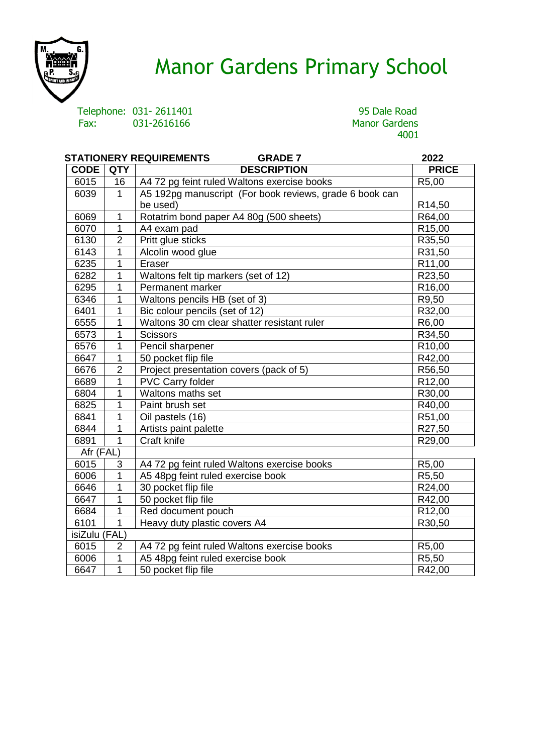

# Manor Gardens Primary School

Telephone: 031-2611401 95 Dale Road<br>
Fax: 031-2616166 95 Manor Gardens

# Manor Gardens<br>4001

| <b>STATIONERY REQUIREMENTS</b><br><b>GRADE 7</b> |                |                                                         | 2022               |
|--------------------------------------------------|----------------|---------------------------------------------------------|--------------------|
| <b>CODE</b>                                      | <b>QTY</b>     | <b>DESCRIPTION</b>                                      | <b>PRICE</b>       |
| 6015                                             | 16             | A4 72 pg feint ruled Waltons exercise books             | R5,00              |
| 6039                                             | $\mathbf{1}$   | A5 192pg manuscript (For book reviews, grade 6 book can |                    |
|                                                  |                | be used)                                                | R <sub>14,50</sub> |
| 6069                                             | 1              | Rotatrim bond paper A4 80g (500 sheets)                 | R64,00             |
| 6070                                             | $\mathbf{1}$   | A4 exam pad                                             | R <sub>15,00</sub> |
| 6130                                             | $\overline{2}$ | Pritt glue sticks                                       | R35,50             |
| 6143                                             | 1              | Alcolin wood glue                                       | R31,50             |
| 6235                                             | 1              | Eraser                                                  | R11,00             |
| 6282                                             | 1              | Waltons felt tip markers (set of 12)                    | R23,50             |
| 6295                                             | 1              | Permanent marker                                        | R <sub>16,00</sub> |
| 6346                                             | 1              | Waltons pencils HB (set of 3)                           | R9,50              |
| 6401                                             | 1              | Bic colour pencils (set of 12)                          | R32,00             |
| 6555                                             | 1              | Waltons 30 cm clear shatter resistant ruler             | R6,00              |
| 6573                                             | 1              | <b>Scissors</b>                                         | R34,50             |
| 6576                                             | 1              | Pencil sharpener                                        | R <sub>10,00</sub> |
| 6647                                             | 1              | 50 pocket flip file                                     | R42,00             |
| 6676                                             | $\overline{2}$ | Project presentation covers (pack of 5)                 | R56,50             |
| 6689                                             | $\mathbf{1}$   | <b>PVC Carry folder</b>                                 | R12,00             |
| 6804                                             | 1              | Waltons maths set                                       | R30,00             |
| 6825                                             | 1              | Paint brush set                                         | R40,00             |
| 6841                                             | 1              | Oil pastels (16)                                        | R51,00             |
| 6844                                             | $\overline{1}$ | Artists paint palette                                   | R27,50             |
| 6891                                             | $\mathbf{1}$   | Craft knife                                             | R29,00             |
| Afr (FAL)                                        |                |                                                         |                    |
| 6015                                             | 3              | A4 72 pg feint ruled Waltons exercise books             | R5,00              |
| 6006                                             | 1              | A5 48pg feint ruled exercise book                       | R5,50              |
| 6646                                             | 1              | 30 pocket flip file                                     | R24,00             |
| 6647                                             | 1              | 50 pocket flip file                                     | R42,00             |
| 6684                                             | 1              | Red document pouch                                      | R <sub>12,00</sub> |
| 6101                                             | $\mathbf{1}$   | Heavy duty plastic covers A4                            | R30,50             |
| isiZulu (FAL)                                    |                |                                                         |                    |
| 6015                                             | $\overline{2}$ | A4 72 pg feint ruled Waltons exercise books             | R5,00              |
| 6006                                             | $\mathbf{1}$   | A5 48pg feint ruled exercise book                       | R5,50              |
| 6647                                             | $\mathbf{1}$   | 50 pocket flip file                                     | R42,00             |